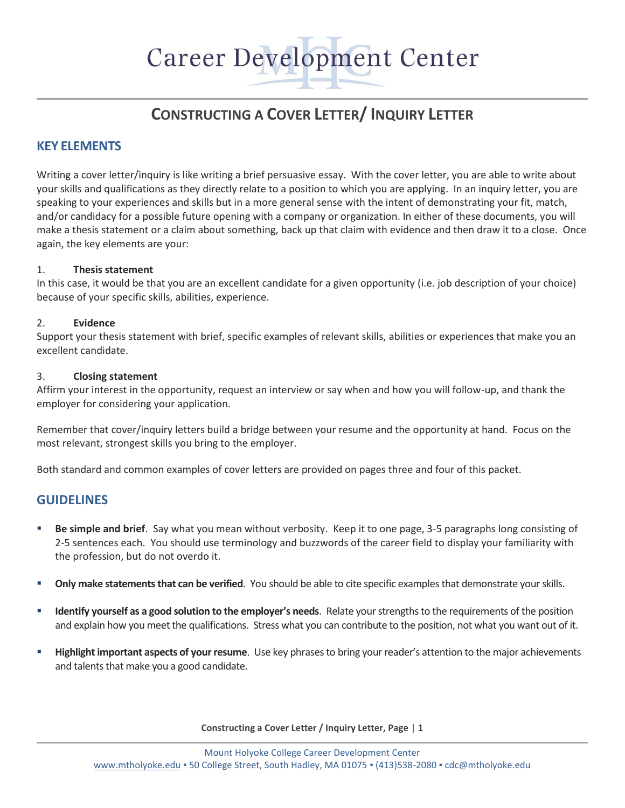# Career Development Center

# **CONSTRUCTING A COVER LETTER/ INQUIRY LETTER**

# **KEY ELEMENTS**

Writing a cover letter/inquiry is like writing a brief persuasive essay. With the cover letter, you are able to write about your skills and qualifications as they directly relate to a position to which you are applying. In an inquiry letter, you are speaking to your experiences and skills but in a more general sense with the intent of demonstrating your fit, match, and/or candidacy for a possible future opening with a company or organization. In either of these documents, you will make a thesis statement or a claim about something, back up that claim with evidence and then draw it to a close. Once again, the key elements are your:

#### 1. **Thesis statement**

In this case, it would be that you are an excellent candidate for a given opportunity (i.e. job description of your choice) because of your specific skills, abilities, experience.

#### 2. **Evidence**

Support your thesis statement with brief, specific examples of relevant skills, abilities or experiences that make you an excellent candidate.

#### 3. **Closing statement**

Affirm your interest in the opportunity, request an interview or say when and how you will follow-up, and thank the employer for considering your application.

Remember that cover/inquiry letters build a bridge between your resume and the opportunity at hand. Focus on the most relevant, strongest skills you bring to the employer.

Both standard and common examples of cover letters are provided on pages three and four of this packet.

# **GUIDELINES**

- **Be simple and brief**. Say what you mean without verbosity. Keep it to one page, 3-5 paragraphs long consisting of 2-5 sentences each. You should use terminology and buzzwords of the career field to display your familiarity with the profession, but do not overdo it.
- **Only make statements that can be verified**. You should be able to cite specific examples that demonstrate your skills.
- **Identify yourself as a good solution to the employer's needs**. Relate your strengths to the requirements of the position and explain how you meet the qualifications. Stress what you can contribute to the position, not what you want out of it.
- **Highlight important aspects of your resume**. Use key phrases to bring your reader's attention to the major achievements and talents that make you a good candidate.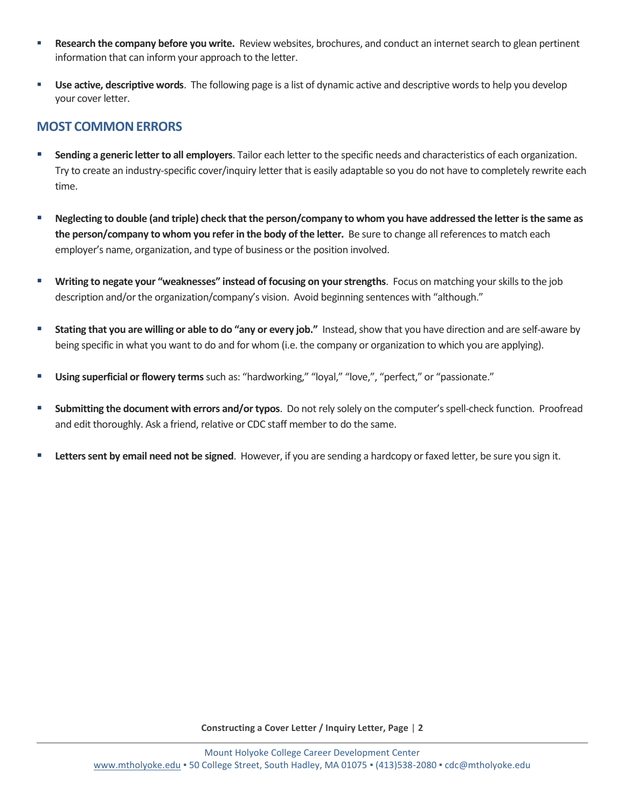- **Research the company before you write.** Review websites, brochures, and conduct an internet search to glean pertinent information that can inform your approach to the letter.
- **Use active, descriptive words**. The following page is a list of dynamic active and descriptive words to help you develop your cover letter.

# **MOST COMMONERRORS**

- **Sending a generic letter to all employers**. Tailor each letter to the specific needs and characteristics of each organization. Try to create an industry-specific cover/inquiry letter that is easily adaptable so you do not have to completely rewrite each time.
- **Neglecting to double (and triple) check that the person/company to whom you have addressed the letter isthe same as the person/company to whom you refer in the body of the letter.** Be sure to change all references to match each employer's name, organization, and type of business or the position involved.
- **Writing to negate your "weaknesses" instead of focusing on your strengths**. Focus on matching your skills to the job description and/or the organization/company's vision. Avoid beginning sentences with "although."
- **Stating that you are willing or able to do "any or every job."** Instead, show that you have direction and are self-aware by being specific in what you want to do and for whom (i.e. the company or organization to which you are applying).
- **Using superficial or flowery terms**such as: "hardworking," "loyal," "love,", "perfect," or "passionate."
- **Submitting the document with errors and/or typos**. Do not rely solely on the computer's spell-check function. Proofread and edit thoroughly. Ask a friend, relative or CDC staff member to do the same.
- **Letters sent by email need not be signed**. However, if you are sending a hardcopy or faxed letter, be sure you sign it.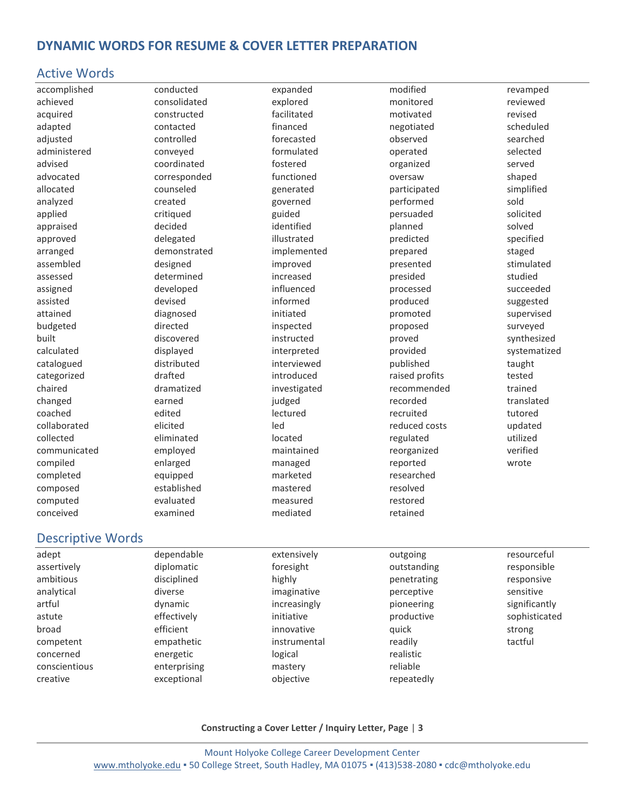# **DYNAMIC WORDS FOR RESUME & COVER LETTER PREPARATION**

#### Active Words

accomplished achieved acquired adapted adjusted administered advised advocated allocated analyzed applied appraised approved arranged assembled assessed assigned assisted attained budgeted built calculated catalogued categorized chaired changed coached collaborated collected communicated compiled completed composed computed conceived

conducted consolidated constructed contacted controlled conveyed coordinated corresponded counseled created critiqued decided delegated demonstrated designed determined developed devised diagnosed directed discovered displayed distributed drafted dramatized earned edited elicited eliminated employed enlarged equipped established evaluated examined

expanded explored facilitated financed forecasted formulated fostered functioned generated governed guided identified illustrated implemented improved increased influenced informed initiated inspected instructed interpreted interviewed introduced investigated judged lectured led located maintained managed marketed mastered measured mediated

modified monitored motivated negotiated observed operated organized oversaw participated performed persuaded planned predicted prepared presented presided processed produced promoted proposed proved provided published raised profits recommended recorded recruited reduced costs regulated reorganized reported researched resolved restored retained

revamped reviewed revised scheduled searched selected served shaped simplified sold solicited solved specified staged stimulated studied succeeded suggested supervised surveyed synthesized systematized taught tested trained translated tutored updated utilized verified wrote

#### Descriptive Words

| adept         | dependable   | extensively  | outgoing    | resourceful   |
|---------------|--------------|--------------|-------------|---------------|
| assertively   | diplomatic   | foresight    | outstanding | responsible   |
| ambitious     | disciplined  | highly       | penetrating | responsive    |
| analytical    | diverse      | imaginative  | perceptive  | sensitive     |
| artful        | dynamic      | increasingly | pioneering  | significantly |
| astute        | effectively  | initiative   | productive  | sophisticated |
| broad         | efficient    | innovative   | quick       | strong        |
| competent     | empathetic   | instrumental | readily     | tactful       |
| concerned     | energetic    | logical      | realistic   |               |
| conscientious | enterprising | mastery      | reliable    |               |
| creative      | exceptional  | objective    | repeatedly  |               |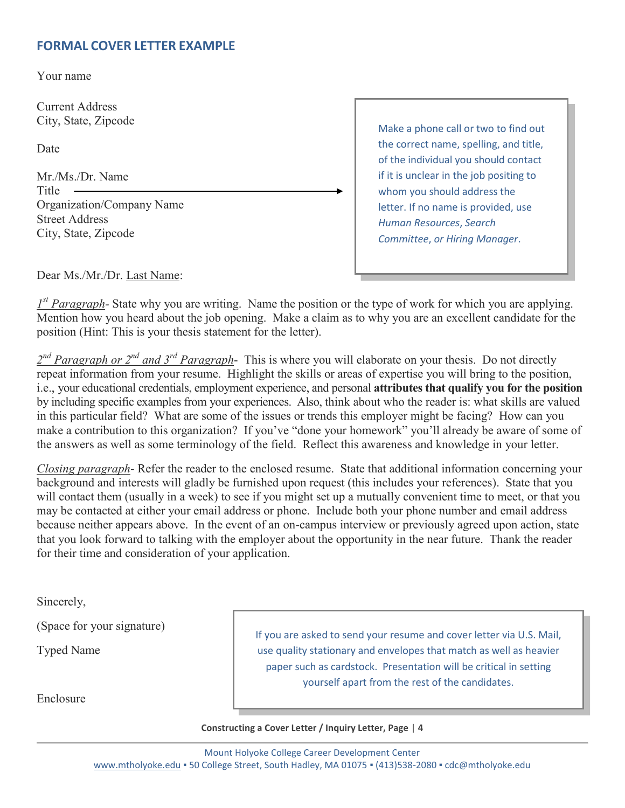# **FORMAL COVER LETTER EXAMPLE**

Your name

Current Address City, State, Zipcode

Date

Mr./Ms./Dr. Name Title Organization/Company Name Street Address City, State, Zipcode

Make a phone call or two to find out the correct name, spelling, and title, of the individual you should contact if it is unclear in the job positing to whom you should address the letter. If no name is provided, use *Human Resources*, *Search Committee*, *or Hiring Manager*.

Dear Ms./Mr./Dr. Last Name:

*1 st Paragraph-* State why you are writing. Name the position or the type of work for which you are applying. Mention how you heard about the job opening. Make a claim as to why you are an excellent candidate for the position (Hint: This is your thesis statement for the letter).

2<sup>nd</sup> Paragraph or 2<sup>nd</sup> and 3<sup>rd</sup> Paragraph- This is where you will elaborate on your thesis. Do not directly repeat information from your resume. Highlight the skills or areas of expertise you will bring to the position, i.e., your educational credentials, employment experience, and personal **attributes that qualify you for the position** by including specific examples from your experiences. Also, think about who the reader is: what skills are valued in this particular field? What are some of the issues or trends this employer might be facing? How can you make a contribution to this organization? If you've "done your homework" you'll already be aware of some of the answers as well as some terminology of the field. Reflect this awareness and knowledge in your letter.

*Closing paragraph*- Refer the reader to the enclosed resume. State that additional information concerning your background and interests will gladly be furnished upon request (this includes your references). State that you will contact them (usually in a week) to see if you might set up a mutually convenient time to meet, or that you may be contacted at either your email address or phone. Include both your phone number and email address because neither appears above. In the event of an on-campus interview or previously agreed upon action, state that you look forward to talking with the employer about the opportunity in the near future. Thank the reader for their time and consideration of your application.

Sincerely,

(Space for your signature)

Typed Name

Enclosure

If you are asked to send your resume and cover letter via U.S. Mail, use quality stationary and envelopes that match as well as heavier paper such as cardstock. Presentation will be critical in setting yourself apart from the rest of the candidates.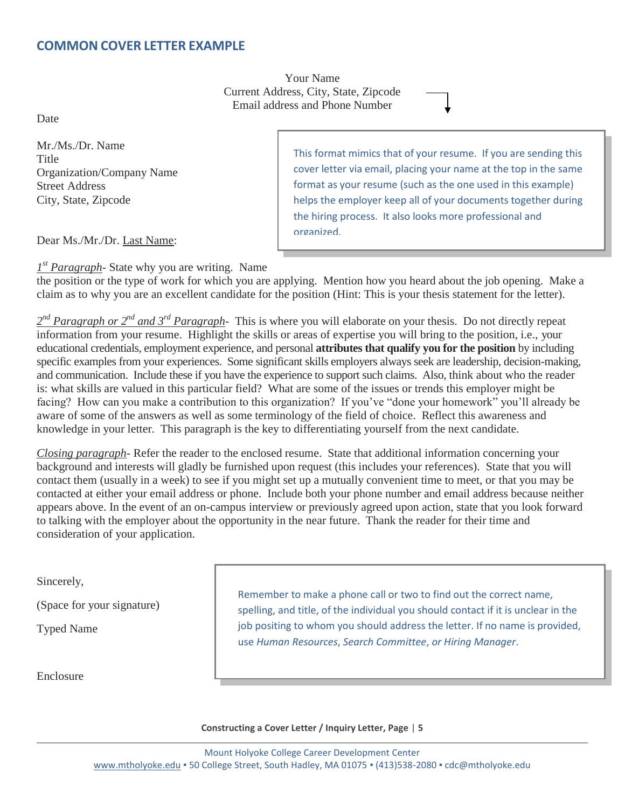# **COMMON COVER LETTER EXAMPLE**

Your Name Current Address, City, State, Zipcode Email address and Phone Number

Date

Mr./Ms./Dr. Name **Title** Organization/Company Name Street Address City, State, Zipcode

This format mimics that of your resume. If you are sending this cover letter via email, placing your name at the top in the same format as your resume (such as the one used in this example) helps the employer keep all of your documents together during the hiring process. It also looks more professional and organized.

Dear Ms./Mr./Dr. Last Name:

*1 st Paragraph-* State why you are writing. Name

the position or the type of work for which you are applying. Mention how you heard about the job opening. Make a claim as to why you are an excellent candidate for the position (Hint: This is your thesis statement for the letter).

2<sup>nd</sup> Paragraph or 2<sup>nd</sup> and 3<sup>rd</sup> Paragraph- This is where you will elaborate on your thesis. Do not directly repeat information from your resume. Highlight the skills or areas of expertise you will bring to the position, i.e., your educational credentials, employment experience, and personal **attributes that qualify you for the position** by including specific examples from your experiences. Some significant skills employers always seek are leadership, decision-making, and communication. Include these if you have the experience to support such claims. Also, think about who the reader is: what skills are valued in this particular field? What are some of the issues or trends this employer might be facing? How can you make a contribution to this organization? If you've "done your homework" you'll already be aware of some of the answers as well as some terminology of the field of choice. Reflect this awareness and knowledge in your letter. This paragraph is the key to differentiating yourself from the next candidate.

*Closing paragraph*- Refer the reader to the enclosed resume. State that additional information concerning your background and interests will gladly be furnished upon request (this includes your references). State that you will contact them (usually in a week) to see if you might set up a mutually convenient time to meet, or that you may be contacted at either your email address or phone. Include both your phone number and email address because neither appears above. In the event of an on-campus interview or previously agreed upon action, state that you look forward to talking with the employer about the opportunity in the near future. Thank the reader for their time and consideration of your application.

Sincerely,

(Space for your signature)

Typed Name

Enclosure

Remember to make a phone call or two to find out the correct name, spelling, and title, of the individual you should contact if it is unclear in the job positing to whom you should address the letter. If no name is provided, use *Human Resources*, *Search Committee*, *or Hiring Manager*.